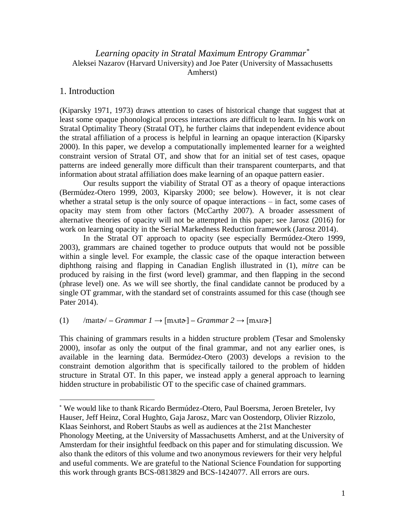# *Learning opacity in Stratal Maximum Entropy Grammar\** Aleksei Nazarov (Harvard University) and Joe Pater (University of Massachusetts Amherst)

## 1. Introduction

 $\overline{a}$ 

(Kiparsky 1971, 1973) draws attention to cases of historical change that suggest that at least some opaque phonological process interactions are difficult to learn. In his work on Stratal Optimality Theory (Stratal OT), he further claims that independent evidence about the stratal affiliation of a process is helpful in learning an opaque interaction (Kiparsky 2000). In this paper, we develop a computationally implemented learner for a weighted constraint version of Stratal OT, and show that for an initial set of test cases, opaque patterns are indeed generally more difficult than their transparent counterparts, and that information about stratal affiliation does make learning of an opaque pattern easier.

Our results support the viability of Stratal OT as a theory of opaque interactions (Bermúdez-Otero 1999, 2003, Kiparsky 2000; see below). However, it is not clear whether a stratal setup is the only source of opaque interactions – in fact, some cases of opacity may stem from other factors (McCarthy 2007). A broader assessment of alternative theories of opacity will not be attempted in this paper; see Jarosz (2016) for work on learning opacity in the Serial Markedness Reduction framework (Jarosz 2014).

In the Stratal OT approach to opacity (see especially Bermúdez-Otero 1999, 2003), grammars are chained together to produce outputs that would not be possible within a single level. For example, the classic case of the opaque interaction between diphthong raising and flapping in Canadian English illustrated in (1), *mitre* can be produced by raising in the first (word level) grammar, and then flapping in the second (phrase level) one. As we will see shortly, the final candidate cannot be produced by a single OT grammar, with the standard set of constraints assumed for this case (though see Pater 2014).

## (1) /mait $\phi$  – *Grammar 1*  $\rightarrow$  [m $\Lambda$ it $\phi$ ] – *Grammar 2*  $\rightarrow$  [m $\Lambda$ ir $\phi$ ]

This chaining of grammars results in a hidden structure problem (Tesar and Smolensky 2000), insofar as only the output of the final grammar, and not any earlier ones, is available in the learning data. Bermúdez-Otero (2003) develops a revision to the constraint demotion algorithm that is specifically tailored to the problem of hidden structure in Stratal OT. In this paper, we instead apply a general approach to learning hidden structure in probabilistic OT to the specific case of chained grammars.

<sup>\*</sup> We would like to thank Ricardo Bermúdez-Otero, Paul Boersma, Jeroen Breteler, Ivy Hauser, Jeff Heinz, Coral Hughto, Gaja Jarosz, Marc van Oostendorp, Olivier Rizzolo, Klaas Seinhorst, and Robert Staubs as well as audiences at the 21st Manchester Phonology Meeting, at the University of Massachusetts Amherst, and at the University of Amsterdam for their insightful feedback on this paper and for stimulating discussion. We also thank the editors of this volume and two anonymous reviewers for their very helpful and useful comments. We are grateful to the National Science Foundation for supporting this work through grants BCS-0813829 and BCS-1424077. All errors are ours.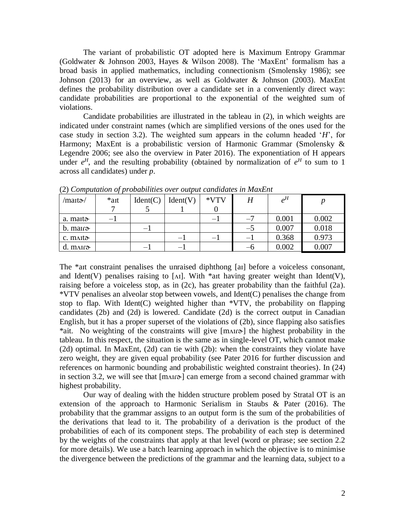The variant of probabilistic OT adopted here is Maximum Entropy Grammar (Goldwater & Johnson 2003, Hayes & Wilson 2008). The 'MaxEnt' formalism has a broad basis in applied mathematics, including connectionism (Smolensky 1986); see Johnson (2013) for an overview, as well as Goldwater & Johnson (2003). MaxEnt defines the probability distribution over a candidate set in a conveniently direct way: candidate probabilities are proportional to the exponential of the weighted sum of violations.

Candidate probabilities are illustrated in the tableau in (2), in which weights are indicated under constraint names (which are simplified versions of the ones used for the case study in section 3.2). The weighted sum appears in the column headed '*H*', for Harmony; MaxEnt is a probabilistic version of Harmonic Grammar (Smolensky & Legendre 2006; see also the overview in Pater 2016). The exponentiation of H appears under  $e^H$ , and the resulting probability (obtained by normalization of  $e^H$  to sum to 1 across all candidates) under *p*.

| /maɪtə-/             | $*$ ait | Ident(C)                 | Ident(V) | *VTV                     | H    | $e^H$ |       |
|----------------------|---------|--------------------------|----------|--------------------------|------|-------|-------|
|                      |         |                          |          |                          |      |       |       |
| a. maito             | — I     |                          |          | $-1$                     | $-7$ | 0.001 | 0.002 |
| $b.$ matro-          |         | $\overline{\phantom{0}}$ |          |                          | —ე   | 0.007 | 0.018 |
| c. mait <sub>a</sub> |         |                          | — I      | $\overline{\phantom{0}}$ | $-1$ | 0.368 | 0.973 |
| $d. m$ air $\delta$  |         |                          | — I      |                          | -0   | 0.002 | 0.007 |

(2) *Computation of probabilities over output candidates in MaxEnt*

The \*aɪt constraint penalises the unraised diphthong [aɪ] before a voiceless consonant, and Ident(V) penalises raising to [ $\Lambda I$ ]. With \*art having greater weight than Ident(V), raising before a voiceless stop, as in (2c), has greater probability than the faithful (2a). \*VTV penalises an alveolar stop between vowels, and Ident(C) penalises the change from stop to flap. With Ident(C) weighted higher than  $*VTV$ , the probability on flapping candidates (2b) and (2d) is lowered. Candidate (2d) is the correct output in Canadian English, but it has a proper superset of the violations of (2b), since flapping also satisfies \*ait. No weighting of the constraints will give [mʌɪɾɚ] the highest probability in the tableau. In this respect, the situation is the same as in single-level OT, which cannot make (2d) optimal. In MaxEnt, (2d) can tie with (2b): when the constraints they violate have zero weight, they are given equal probability (see Pater 2016 for further discussion and references on harmonic bounding and probabilistic weighted constraint theories). In (24) in section 3.2, we will see that [mʌɪɾɚ] can emerge from a second chained grammar with highest probability.

Our way of dealing with the hidden structure problem posed by Stratal OT is an extension of the approach to Harmonic Serialism in Staubs & Pater (2016). The probability that the grammar assigns to an output form is the sum of the probabilities of the derivations that lead to it. The probability of a derivation is the product of the probabilities of each of its component steps. The probability of each step is determined by the weights of the constraints that apply at that level (word or phrase; see section 2.2 for more details). We use a batch learning approach in which the objective is to minimise the divergence between the predictions of the grammar and the learning data, subject to a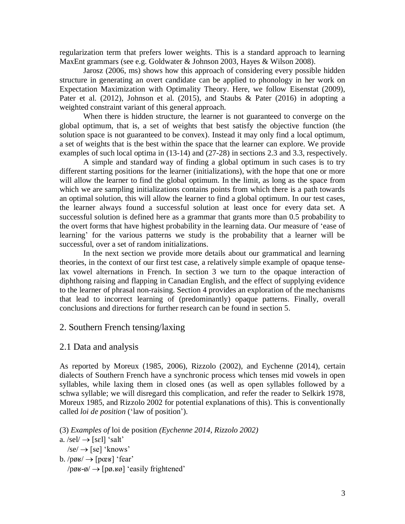regularization term that prefers lower weights. This is a standard approach to learning MaxEnt grammars (see e.g. Goldwater & Johnson 2003, Hayes & Wilson 2008).

Jarosz (2006, ms) shows how this approach of considering every possible hidden structure in generating an overt candidate can be applied to phonology in her work on Expectation Maximization with Optimality Theory. Here, we follow Eisenstat (2009), Pater et al. (2012), Johnson et al. (2015), and Staubs & Pater (2016) in adopting a weighted constraint variant of this general approach.

When there is hidden structure, the learner is not guaranteed to converge on the global optimum, that is, a set of weights that best satisfy the objective function (the solution space is not guaranteed to be convex). Instead it may only find a local optimum, a set of weights that is the best within the space that the learner can explore. We provide examples of such local optima in (13-14) and (27-28) in sections 2.3 and 3.3, respectively.

A simple and standard way of finding a global optimum in such cases is to try different starting positions for the learner (initializations), with the hope that one or more will allow the learner to find the global optimum. In the limit, as long as the space from which we are sampling initializations contains points from which there is a path towards an optimal solution, this will allow the learner to find a global optimum. In our test cases, the learner always found a successful solution at least once for every data set. A successful solution is defined here as a grammar that grants more than 0.5 probability to the overt forms that have highest probability in the learning data. Our measure of 'ease of learning' for the various patterns we study is the probability that a learner will be successful, over a set of random initializations.

In the next section we provide more details about our grammatical and learning theories, in the context of our first test case, a relatively simple example of opaque tenselax vowel alternations in French. In section 3 we turn to the opaque interaction of diphthong raising and flapping in Canadian English, and the effect of supplying evidence to the learner of phrasal non-raising. Section 4 provides an exploration of the mechanisms that lead to incorrect learning of (predominantly) opaque patterns. Finally, overall conclusions and directions for further research can be found in section 5.

### 2. Southern French tensing/laxing

#### 2.1 Data and analysis

As reported by Moreux (1985, 2006), Rizzolo (2002), and Eychenne (2014), certain dialects of Southern French have a synchronic process which tenses mid vowels in open syllables, while laxing them in closed ones (as well as open syllables followed by a schwa syllable; we will disregard this complication, and refer the reader to Selkirk 1978, Moreux 1985, and Rizzolo 2002 for potential explanations of this). This is conventionally called *loi de position* ('law of position').

(3) *Examples of* loi de position *(Eychenne 2014, Rizzolo 2002)*

a.  $\text{seI} \rightarrow \text{[seI]}$  'salt'

 $\sqrt{\text{se}} \rightarrow \sqrt{\text{se}}'$  'knows'

b.  $\left| \text{p} \right| \rightarrow \left| \text{p} \right|$  'fear'

 $\gamma$ pø $\mu \rightarrow$  [pø. $\mu \rightarrow$ ] 'easily frightened'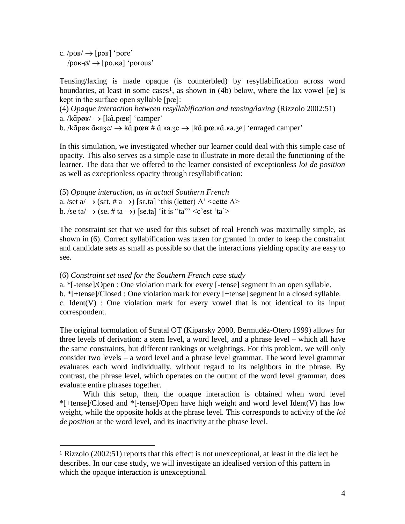c.  $\left| \text{pos} \right| \rightarrow \left[ \text{pos} \right]$  'pore'  $\gamma$ poʁ-ø $/ \rightarrow$  [po.ʁø] 'porous'

 $\overline{a}$ 

Tensing/laxing is made opaque (is counterbled) by resyllabification across word boundaries, at least in some cases<sup>1</sup>, as shown in [\(4b](#page-3-0)) below, where the lax vowel  $[\mathbf{\hat{e}}]$  is kept in the surface open syllable [pœ]:

<span id="page-3-0"></span>(4) *Opaque interaction between resyllabification and tensing/laxing* (Rizzolo 2002:51) a. /kɑ̃pøʁ/ → [kɑ̃.pœʁ] 'camper'

b. /kɑ̃pøʁ ɑ̃ʁaʒe/ kɑ̃ .**pœʁ** # ɑ̃ .ʁa.ʒe [kɑ̃ .**pœ**.ʁɑ̃ .ʁa.ʒe] 'enraged camper'

In this simulation, we investigated whether our learner could deal with this simple case of opacity. This also serves as a simple case to illustrate in more detail the functioning of the learner. The data that we offered to the learner consisted of exceptionless *loi de position*  as well as exceptionless opacity through resyllabification:

<span id="page-3-2"></span>(5) *Opaque interaction, as in actual Southern French* a. /set  $a \rightarrow (set. # a \rightarrow)$  [set a] 'this (letter) A' <cette A> b. /se ta/ $\rightarrow$  (se. # ta  $\rightarrow$ ) [se.ta] 'it is "ta"' <c'est 'ta'>

The constraint set that we used for this subset of real French was maximally simple, as shown in [\(6\)](#page-3-1). Correct syllabification was taken for granted in order to keep the constraint and candidate sets as small as possible so that the interactions yielding opacity are easy to see.

#### <span id="page-3-1"></span>(6) *Constraint set used for the Southern French case study*

a. \*[-tense]/Open : One violation mark for every [-tense] segment in an open syllable.

b. \*[+tense]/Closed : One violation mark for every [+tense] segment in a closed syllable. c. Ident(V) : One violation mark for every vowel that is not identical to its input correspondent.

The original formulation of Stratal OT (Kiparsky 2000, Bermudéz-Otero 1999) allows for three levels of derivation: a stem level, a word level, and a phrase level – which all have the same constraints, but different rankings or weightings. For this problem, we will only consider two levels – a word level and a phrase level grammar. The word level grammar evaluates each word individually, without regard to its neighbors in the phrase. By contrast, the phrase level, which operates on the output of the word level grammar, does evaluate entire phrases together.

With this setup, then, the opaque interaction is obtained when word level  $*$ [+tense]/Closed and  $*$ [-tense]/Open have high weight and word level Ident(V) has low weight, while the opposite holds at the phrase level. This corresponds to activity of the *loi de position* at the word level, and its inactivity at the phrase level.

<sup>1</sup> Rizzolo (2002:51) reports that this effect is not unexceptional, at least in the dialect he describes. In our case study, we will investigate an idealised version of this pattern in which the opaque interaction is unexceptional.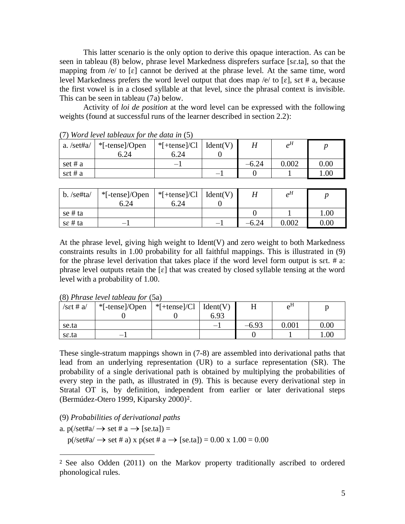This latter scenario is the only option to derive this opaque interaction. As can be seen in tableau [\(8\)](#page-4-0) below, phrase level Markedness disprefers surface [sɛ.ta], so that the mapping from /e/ to  $\lceil \varepsilon \rceil$  cannot be derived at the phrase level. At the same time, word level Markedness prefers the word level output that does map /e/ to [ $\varepsilon$ ], set # a, because the first vowel is in a closed syllable at that level, since the phrasal context is invisible. This can be seen in tableau [\(7a](#page-4-1)) below.

Activity of *loi de position* at the word level can be expressed with the following weights (found at successful runs of the learner described in section 2.2):

| <u>the contract the contract for the change of the set</u> |                |                          |          |         |       |      |  |  |  |  |
|------------------------------------------------------------|----------------|--------------------------|----------|---------|-------|------|--|--|--|--|
| a. $\sqrt{\text{set}}$ #a                                  | *[-tense]/Open | $*$ [+tense]/Cl          | Ident(V) |         | $e^H$ |      |  |  |  |  |
|                                                            | 6.24           | 6.24                     |          |         |       |      |  |  |  |  |
| set # $a$                                                  |                | $\overline{\phantom{m}}$ |          | $-6.24$ | 0.002 | 0.00 |  |  |  |  |
| set # $a$                                                  |                |                          |          |         |       | .00  |  |  |  |  |

<span id="page-4-1"></span>(7) *Word level tableaux for the data in* [\(5\)](#page-3-2)

| $b.$ /se#ta/     | *[-tense]/Open | *[+tense]/Cl   Ident(V) |         | $\rho^H$  |          |
|------------------|----------------|-------------------------|---------|-----------|----------|
|                  | 6.24           | 6.24                    |         |           |          |
| se # ta          |                |                         |         |           | 1.00     |
| $s\epsilon$ # ta |                |                         | $-6.24$ | $0.002\,$ | $0.00\,$ |

At the phrase level, giving high weight to Ident(V) and zero weight to both Markedness constraints results in 1.00 probability for all faithful mappings. This is illustrated in (9) for the phrase level derivation that takes place if the word level form output is sɛt. # a: phrase level outputs retain the  $\lceil \varepsilon \rceil$  that was created by closed syllable tensing at the word level with a probability of 1.00.

<span id="page-4-0"></span>(8) *Phrase level tableau for* [\(5a](#page-3-2))

| /set # $a$ / | *[-tense]/Open | $*$ [+tense]/Cl   Ident(V) |                          |         | $e^{H}$   |      |
|--------------|----------------|----------------------------|--------------------------|---------|-----------|------|
|              |                |                            | 6.93                     |         |           |      |
| se.ta        |                |                            | $\overline{\phantom{0}}$ | $-6.93$ | $0.001\,$ | 0.00 |
| se.ta        | —              |                            |                          |         |           | 1.00 |

These single-stratum mappings shown in [\(7-](#page-4-1)[8\)](#page-4-0) are assembled into derivational paths that lead from an underlying representation (UR) to a surface representation (SR). The probability of a single derivational path is obtained by multiplying the probabilities of every step in the path, as illustrated in [\(9\)](#page-4-2). This is because every derivational step in Stratal OT is, by definition, independent from earlier or later derivational steps (Bermúdez-Otero 1999, Kiparsky 2000)2.

- <span id="page-4-2"></span>(9) *Probabilities of derivational paths*
- a.  $p(\text{set} \#a \rightarrow \text{set} \# a \rightarrow \text{[se.ta]}) =$

 $\overline{a}$ 

 $p(\text{set}\#a) \rightarrow \text{set}\# a)$  x  $p(\text{set}\# a \rightarrow [\text{se.ta}]) = 0.00 \times 1.00 = 0.00$ 

<sup>2</sup> See also Odden (2011) on the Markov property traditionally ascribed to ordered phonological rules.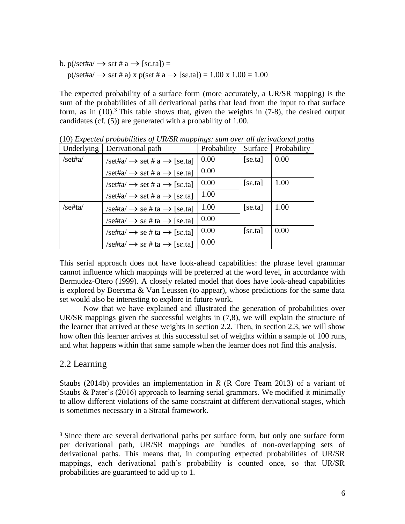b.  $p$ (/set#a/  $\rightarrow$  sɛt # a  $\rightarrow$  [sɛ.ta]) =  $p(\text{set} \#a) \rightarrow \text{set} \# a)$  x  $p(\text{set} \# a \rightarrow [\text{se.ta}]) = 1.00 \times 1.00 = 1.00$ 

The expected probability of a surface form (more accurately, a UR/SR mapping) is the sum of the probabilities of all derivational paths that lead from the input to that surface form, as in  $(10)$ .<sup>3</sup> This table shows that, given the weights in  $(7-8)$ , the desired output candidates (cf. (5)) are generated with a probability of 1.00.

| Underlying | Derivational path                                                   | Probability | Surface | Probability |
|------------|---------------------------------------------------------------------|-------------|---------|-------------|
| /set#a/    | $\sqrt{\text{set}}$ #a $\rightarrow$ set # a $\rightarrow$ [se.ta]  | 0.00        | [se.ta] | 0.00        |
|            | $\sqrt{\text{set}}$ #a $\rightarrow$ set # a $\rightarrow$ [se.ta]  | 0.00        |         |             |
|            | $\sqrt{\text{set}}$ #a $\rightarrow$ set # a $\rightarrow$ [se.ta]  | 0.00        | [se.ta] | 1.00        |
|            | $\sqrt{\text{set}}$ #a $\rightarrow$ set # a $\rightarrow$ [se.ta]  | 1.00        |         |             |
| /se#ta/    | $\sqrt{\text{set}t}$ ta $\rightarrow$ se # ta $\rightarrow$ [se.ta] | 1.00        | [seta]  | 1.00        |
|            | $\sqrt{\text{set}t}$ ta $\rightarrow$ se # ta $\rightarrow$ [se.ta] | 0.00        |         |             |
|            | $\sqrt{\text{set}t}$ ta $\rightarrow$ se # ta $\rightarrow$ [se.ta] | 0.00        | [se.ta] | 0.00        |
|            | $\sqrt{\text{set}t}$ ta $\rightarrow$ se # ta $\rightarrow$ [se.ta] | 0.00        |         |             |

(10) *Expected probabilities of UR/SR mappings: sum over all derivational paths*

This serial approach does not have look-ahead capabilities: the phrase level grammar cannot influence which mappings will be preferred at the word level, in accordance with Bermudez-Otero (1999). A closely related model that does have look-ahead capabilities is explored by Boersma & Van Leussen (to appear), whose predictions for the same data set would also be interesting to explore in future work.

Now that we have explained and illustrated the generation of probabilities over UR/SR mappings given the successful weights in [\(7](#page-4-1)[,8\)](#page-4-0), we will explain the structure of the learner that arrived at these weights in section 2.2. Then, in section 2.3, we will show how often this learner arrives at this successful set of weights within a sample of 100 runs, and what happens within that same sample when the learner does not find this analysis.

## 2.2 Learning

 $\overline{a}$ 

Staubs (2014b) provides an implementation in *R* (R Core Team 2013) of a variant of Staubs & Pater's (2016) approach to learning serial grammars. We modified it minimally to allow different violations of the same constraint at different derivational stages, which is sometimes necessary in a Stratal framework.

<sup>&</sup>lt;sup>3</sup> Since there are several derivational paths per surface form, but only one surface form per derivational path, UR/SR mappings are bundles of non-overlapping sets of derivational paths. This means that, in computing expected probabilities of UR/SR mappings, each derivational path's probability is counted once, so that UR/SR probabilities are guaranteed to add up to 1.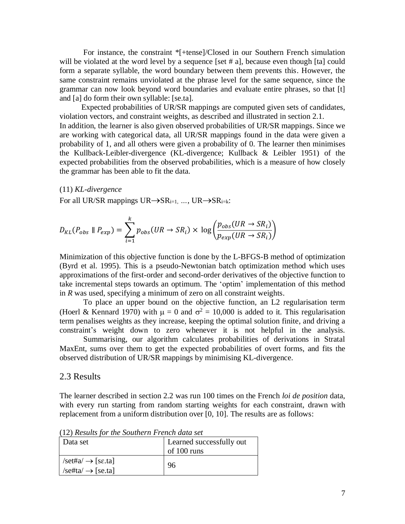For instance, the constraint \*[+tense]/Closed in our Southern French simulation will be violated at the word level by a sequence [set # a], because even though [ta] could form a separate syllable, the word boundary between them prevents this. However, the same constraint remains unviolated at the phrase level for the same sequence, since the grammar can now look beyond word boundaries and evaluate entire phrases, so that [t] and [a] do form their own syllable: [se.ta].

Expected probabilities of UR/SR mappings are computed given sets of candidates, violation vectors, and constraint weights, as described and illustrated in section 2.1. In addition, the learner is also given observed probabilities of UR/SR mappings. Since we are working with categorical data, all UR/SR mappings found in the data were given a probability of 1, and all others were given a probability of 0. The learner then minimises the Kullback-Leibler-divergence (KL-divergence; Kullback & Leibler 1951) of the expected probabilities from the observed probabilities, which is a measure of how closely the grammar has been able to fit the data.

#### (11) *KL-divergence*

For all UR/SR mappings  $UR \rightarrow SR_{i=1}$ ,  $\ldots$ ,  $UR \rightarrow SR_{i=k}$ :

 $\mathbf{r}$ 

$$
D_{KL}(P_{obs} \parallel P_{exp}) = \sum_{i=1}^{K} p_{obs}(UR \rightarrow SR_i) \times \log \left( \frac{p_{obs}(UR \rightarrow SR_i)}{p_{exp}(UR \rightarrow SR_i)} \right)
$$

Minimization of this objective function is done by the L-BFGS-B method of optimization (Byrd et al. 1995). This is a pseudo-Newtonian batch optimization method which uses approximations of the first-order and second-order derivatives of the objective function to take incremental steps towards an optimum. The 'optim' implementation of this method in *R* was used, specifying a minimum of zero on all constraint weights.

To place an upper bound on the objective function, an L2 regularisation term (Hoerl & Kennard 1970) with  $\mu = 0$  and  $\sigma^2 = 10,000$  is added to it. This regularisation term penalises weights as they increase, keeping the optimal solution finite, and driving a constraint's weight down to zero whenever it is not helpful in the analysis.

Summarising, our algorithm calculates probabilities of derivations in Stratal MaxEnt, sums over them to get the expected probabilities of overt forms, and fits the observed distribution of UR/SR mappings by minimising KL-divergence.

#### 2.3 Results

The learner described in section 2.2 was run 100 times on the French *loi de position* data, with every run starting from random starting weights for each constraint, drawn with replacement from a uniform distribution over [0, 10]. The results are as follows:

| $(12)$ restaus for the Southern 1 reflect electronic                                               | Learned successfully out |
|----------------------------------------------------------------------------------------------------|--------------------------|
| Data set                                                                                           | of 100 runs              |
| $\sqrt{\text{set}\#a} \rightarrow [\text{se.ta}]$<br>$\sqrt{\text{set}t}$ ta $\rightarrow$ [se.ta] | 96                       |

(12) *Results for the Southern French data set*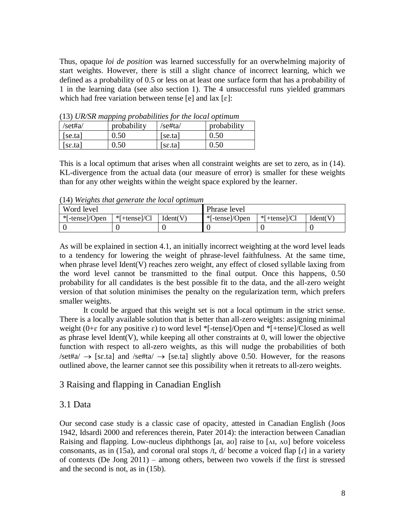Thus, opaque *loi de position* was learned successfully for an overwhelming majority of start weights. However, there is still a slight chance of incorrect learning, which we defined as a probability of 0.5 or less on at least one surface form that has a probability of 1 in the learning data (see also section 1). The 4 unsuccessful runs yielded grammars which had free variation between tense [e] and lax  $[\varepsilon]$ :

| (15) OIVSK mapping probabilities for the tocal optimum |             |                       |             |  |  |  |  |
|--------------------------------------------------------|-------------|-----------------------|-------------|--|--|--|--|
| /set#a/                                                | probability | $\sqrt{\text{sefta}}$ | probability |  |  |  |  |
| [seta]                                                 | 0.50        | [seta]                | 0.50        |  |  |  |  |
| [se.ta]                                                | 0.50        | [se.ta]               | 0.50        |  |  |  |  |

(13) *UR/SR mapping probabilities for the local optimum*

This is a local optimum that arises when all constraint weights are set to zero, as in [\(14\)](#page-7-0). KL-divergence from the actual data (our measure of error) is smaller for these weights than for any other weights within the weight space explored by the learner.

Word level Phrase level \*[-tense]/Open | \*[+tense]/Cl | Ident(V)  $\blacktriangleright$  | \*[-tense]/Open | \*[+tense]/Cl | Ident(V)  $0 \qquad \qquad 0 \qquad \qquad 0 \qquad \qquad 0 \qquad \qquad 0$ 

<span id="page-7-0"></span>(14) *Weights that generate the local optimum*

As will be explained in section 4.1, an initially incorrect weighting at the word level leads to a tendency for lowering the weight of phrase-level faithfulness. At the same time, when phrase level Ident(V) reaches zero weight, any effect of closed syllable laxing from the word level cannot be transmitted to the final output. Once this happens, 0.50 probability for all candidates is the best possible fit to the data, and the all-zero weight version of that solution minimises the penalty on the regularization term, which prefers smaller weights.

It could be argued that this weight set is not a local optimum in the strict sense. There is a locally available solution that is better than all-zero weights: assigning minimal weight ( $0+\varepsilon$  for any positive  $\varepsilon$ ) to word level \*[-tense]/Open and \*[+tense]/Closed as well as phrase level Ident(V), while keeping all other constraints at  $0$ , will lower the objective function with respect to all-zero weights, as this will nudge the probabilities of both  $\sqrt{\text{set}}$   $\neq$  [set a] and  $\sqrt{\text{set}}$  [set a] slightly above 0.50. However, for the reasons outlined above, the learner cannot see this possibility when it retreats to all-zero weights.

# 3 Raising and flapping in Canadian English

# 3.1 Data

Our second case study is a classic case of opacity, attested in Canadian English (Joos 1942, Idsardi 2000 and references therein, Pater 2014): the interaction between Canadian Raising and flapping. Low-nucleus diphthongs [ai, av] raise to  $[\Lambda I, \Lambda U]$  before voiceless consonants, as in [\(15a](#page-8-0)), and coronal oral stops  $/t$ ,  $d/$  become a voiced flap  $\lceil r \rceil$  in a variety of contexts (De Jong 2011) – among others, between two vowels if the first is stressed and the second is not, as in [\(15b](#page-8-0)).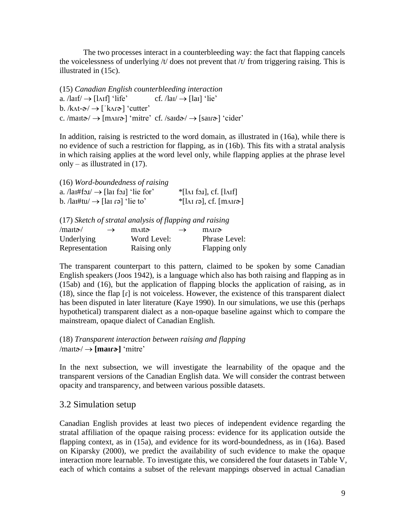The two processes interact in a counterbleeding way: the fact that flapping cancels the voicelessness of underlying  $/t$  does not prevent that  $/t$  from triggering raising. This is illustrated in [\(15c](#page-8-0)).

<span id="page-8-0"></span>(15) *Canadian English counterbleeding interaction* a.  $\text{larf} \rightarrow \text{lArff}$  'life' cf.  $\text{lauf} \rightarrow \text{llar}$ 'lie' b.  $/$ k $\Lambda t$ - $\partial$  $\rightarrow$  ['k $\Lambda$ r $\partial$ ] 'cutter' c. /mait $\phi$   $\rightarrow$  [m $\Lambda$ ir $\phi$ ] 'mitre' cf. /said $\phi$   $\rightarrow$  [sair $\phi$ ] 'cider'

In addition, raising is restricted to the word domain, as illustrated in [\(16a](#page-8-1)), while there is no evidence of such a restriction for flapping, as in [\(16b](#page-8-1)). This fits with a stratal analysis in which raising applies at the word level only, while flapping applies at the phrase level only – as illustrated in  $(17)$ .

```
(16) Word-boundedness of raising
```

| a. $\lambda$ lai#fo.i $\rightarrow$ [lai fo.i] 'lie for' | $*$ [ $\lambda$ I foj], cf. [ $\lambda$ If]                                       |
|----------------------------------------------------------|-----------------------------------------------------------------------------------|
| b. /lai#tu/ $\rightarrow$ [lai rə] 'lie to'              | $*[I_{\Lambda} \text{I} \text{I}]$ , cf. $[\text{mA} \text{I} \text{I} \text{I}]$ |

<span id="page-8-2"></span>(17) *Sketch of stratal analysis of flapping and raising*

| $/$ mait $\mathfrak{d}/$ | $\rightarrow$ | ma <sub>ta</sub> | $\rightarrow$ | mair <del>a</del> |
|--------------------------|---------------|------------------|---------------|-------------------|
| Underlying               |               | Word Level:      |               | Phrase Level:     |
| Representation           |               | Raising only     |               | Flapping only     |

The transparent counterpart to this pattern, claimed to be spoken by some Canadian English speakers (Joos 1942), is a language which also has both raising and flapping as in [\(15a](#page-8-0)b) and [\(16\)](#page-8-1), but the application of flapping blocks the application of raising, as in [\(18\)](#page-8-3), since the flap [ɾ] is not voiceless. However, the existence of this transparent dialect has been disputed in later literature (Kaye 1990). In our simulations, we use this (perhaps hypothetical) transparent dialect as a non-opaque baseline against which to compare the mainstream, opaque dialect of Canadian English.

### <span id="page-8-3"></span>(18) *Transparent interaction between raising and flapping*  $/$ mait $\phi$  $\rightarrow$  [mair $\phi$ ] 'mitre'

In the next subsection, we will investigate the learnability of the opaque and the transparent versions of the Canadian English data. We will consider the contrast between opacity and transparency, and between various possible datasets.

## 3.2 Simulation setup

Canadian English provides at least two pieces of independent evidence regarding the stratal affiliation of the opaque raising process: evidence for its application outside the flapping context, as in [\(15a](#page-8-0)), and evidence for its word-boundedness, as in [\(16a](#page-8-1)). Based on Kiparsky (2000), we predict the availability of such evidence to make the opaque interaction more learnable. To investigate this, we considered the four datasets in Table V, each of which contains a subset of the relevant mappings observed in actual Canadian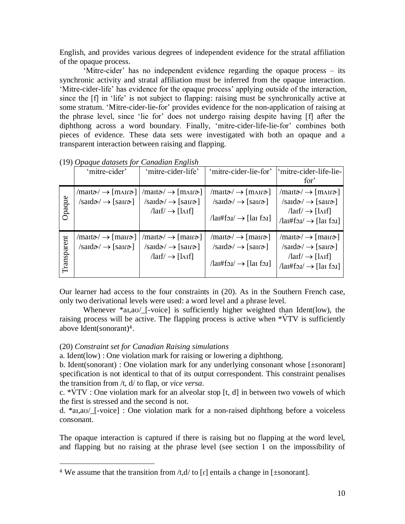English, and provides various degrees of independent evidence for the stratal affiliation of the opaque process.

'Mitre-cider' has no independent evidence regarding the opaque process – its synchronic activity and stratal affiliation must be inferred from the opaque interaction. 'Mitre-cider-life' has evidence for the opaque process' applying outside of the interaction, since the [f] in 'life' is not subject to flapping: raising must be synchronically active at some stratum. 'Mitre-cider-lie-for' provides evidence for the non-application of raising at the phrase level, since 'lie for' does not undergo raising despite having [f] after the diphthong across a word boundary. Finally, 'mitre-cider-life-lie-for' combines both pieces of evidence. These data sets were investigated with both an opaque and a transparent interaction between raising and flapping.

|             | 'mitre-cider'                                                                                                                 | 'mitre-cider-life'                                                                                                                                     | 'mitre-cider-lie-for'                                                                                                                               | 'mitre-cider-life-lie-<br>for <sup>3</sup>                                                                                                                                             |
|-------------|-------------------------------------------------------------------------------------------------------------------------------|--------------------------------------------------------------------------------------------------------------------------------------------------------|-----------------------------------------------------------------------------------------------------------------------------------------------------|----------------------------------------------------------------------------------------------------------------------------------------------------------------------------------------|
| Opaque      | $/$ mait $\sigma$ $\rightarrow$ [m $\Lambda$ ir $\sigma$ ]  <br>$\sqrt{\text{sa}}d\sigma/\rightarrow \sqrt{\text{sa}}d\sigma$ | $/$ mait $\sigma$ $\rightarrow$ [m $\Lambda$ ir $\sigma$ ]<br>$\sqrt{\text{saud}} \rightarrow [\text{sarr}$<br>$\text{Im}(f) \rightarrow \text{Im}(f)$ | $/$ mait $\sigma$ $\rightarrow$ [m $\Lambda$ ir $\sigma$ ]<br>$/saud\rightarrow [sar\rightarrow]$<br>$\text{ln}$ /lai#fold $\rightarrow$ [lai fold] | $/$ mait $\phi$ $\rightarrow$ [m $\Lambda$ ir $\phi$ ]<br>$/saud\rightarrow [sar\rightarrow]$<br>$\text{Im} f / \rightarrow \text{Im} f$<br>$\text{Im}(t) \rightarrow \text{Im}(t)$    |
| Transparent | $/$ mait $\phi$ $\rightarrow$ [mair $\phi$ ]<br>$\sqrt{\text{saud}} \rightarrow \sqrt{\text{saud}}$                           | $/$ mait $\sigma$ $\rightarrow$ [mair $\sigma$ ]<br>$/saud\rightarrow [sar\rightarrow]$<br>$\text{Im}(f) \rightarrow \text{Im}(f)$                     | $/$ mait $\sigma$ $\rightarrow$ [mair $\sigma$ ]<br>$/saud\rightarrow [sar\rightarrow]$<br>$\text{ln}$ #fo. $\text{ln}$ $\rightarrow$ [lare fo.1]   | $/$ mait $\alpha$ $\rightarrow$ [mair $\alpha$ ]<br>$/sadd\rightarrow [sar\rightarrow]$<br>$\text{laff} \rightarrow \text{laff}$<br>$\text{ln} \mathsf{H}$ fol $\rightarrow$ [lai fol] |

(19) *Opaque datasets for Canadian English*

Our learner had access to the four constraints in [\(20\)](#page-9-0). As in the Southern French case, only two derivational levels were used: a word level and a phrase level.

Whenever \*aɪ,aʊ/\_[-voice] is sufficiently higher weighted than Ident(low), the raising process will be active. The flapping process is active when  $*\dot{V}TV$  is sufficiently above Ident(sonorant)4.

### <span id="page-9-0"></span>(20) *Constraint set for Canadian Raising simulations*

 $\overline{a}$ 

a. Ident(low) : One violation mark for raising or lowering a diphthong.

b. Ident(sonorant) : One violation mark for any underlying consonant whose [±sonorant] specification is not identical to that of its output correspondent. This constraint penalises the transition from /t, d/ to flap, or *vice versa*.

c. \*VTV : One violation mark for an alveolar stop [t, d] in between two vowels of which the first is stressed and the second is not.

d. \*aɪ,aʊ/\_[-voice] : One violation mark for a non-raised diphthong before a voiceless consonant.

The opaque interaction is captured if there is raising but no flapping at the word level, and flapping but no raising at the phrase level (see section 1 on the impossibility of

<sup>&</sup>lt;sup>4</sup> We assume that the transition from  $/t, d/t$  to  $\lceil \frac{r}{t} \rceil$  entails a change in  $\lceil \frac{t}{t} \rceil$ sonorant.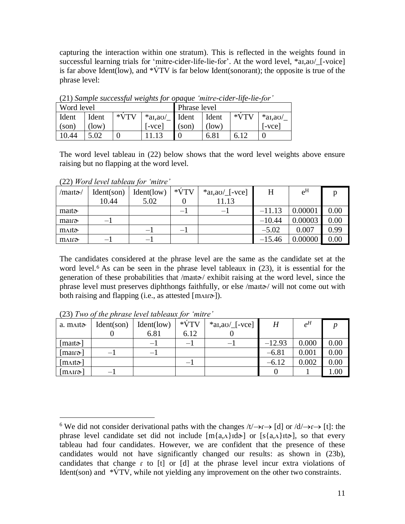capturing the interaction within one stratum). This is reflected in the weights found in successful learning trials for 'mitre-cider-life-lie-for'. At the word level,  $*a1, a0/$ [-voice] is far above Ident(low), and  $\sqrt[k]{\text{TV}}$  is far below Ident(sonorant); the opposite is true of the phrase level:

| Word level |       |        | Phrase level              |       |       |        |            |  |
|------------|-------|--------|---------------------------|-------|-------|--------|------------|--|
| Ident      | Ident | $*VTV$ | $*$ ar, av $\angle$ Ident |       | Ident | $*VTV$ | $*$ ai,ao/ |  |
| (son)      | (low) |        | [-vce]                    | (son) | (low) |        | l-vcel     |  |
| 10.44      | 5.02  |        |                           |       | 6.81  | 6.12   |            |  |

<span id="page-10-1"></span>(21) *Sample successful weights for opaque 'mitre-cider-life-lie-for'*

The word level tableau in (22) below shows that the word level weights above ensure raising but no flapping at the word level.

| /maɪtə·/           | Ident(son) | Ident(low) | $*VTV$            | $*aI, aU$ [-vce] | H        | $e^{H}$ |      |
|--------------------|------------|------------|-------------------|------------------|----------|---------|------|
|                    | 10.44      | 5.02       |                   | 11.13            |          |         |      |
| ma <sub>It</sub>   |            |            | —                 | $-1$             | $-11.13$ | 0.00001 | 0.00 |
| mair               | $-1$       |            |                   |                  | $-10.44$ | 0.00003 | 0.00 |
| $\mu$ AIt $\sigma$ |            | — 1        | $\qquad \qquad -$ |                  | $-5.02$  | 0.007   | 0.99 |
| mair <sub>ð</sub>  |            | – 1        |                   |                  | $-15.46$ | 0.00000 | 0.00 |

(22) *Word level tableau for 'mitre'*

The candidates considered at the phrase level are the same as the candidate set at the word level. <sup>6</sup> As can be seen in the phrase level tableaux in (23), it is essential for the generation of these probabilities that /mait $\alpha$ / exhibit raising at the word level, since the phrase level must preserves diphthongs faithfully, or else /maita/ will not come out with both raising and flapping (i.e., as attested [mʌɪɾæ]).

| a. maito                   | Ident(son)               | Ident(low)                     | $*VTV$                   | $*$ ai,ao/ $[-vec]$ | H        | $e^H$ |      |
|----------------------------|--------------------------|--------------------------------|--------------------------|---------------------|----------|-------|------|
|                            |                          | 6.81                           | 6.12                     |                     |          |       |      |
| [mart $\mathfrak{d}$ ]     |                          | $\qquad \qquad \longleftarrow$ | — I                      | —                   | $-12.93$ | 0.000 | 0.00 |
| $[\text{man}\sigma]$       | $\overline{\phantom{0}}$ | $\overline{\phantom{0}}$       |                          |                     | $-6.81$  | 0.001 | 0.00 |
| [m <sub>Alt</sub>          |                          |                                | $\overline{\phantom{0}}$ |                     | $-6.12$  | 0.002 | 0.00 |
| $\lceil \text{max} \rceil$ |                          |                                |                          |                     |          |       | 00.1 |

<span id="page-10-0"></span>(23) *Two of the phrase level tableaux for 'mitre'*

 $\overline{a}$ 

<sup>&</sup>lt;sup>6</sup> We did not consider derivational paths with the changes  $/t \rightarrow r \rightarrow [d]$  or  $/d \rightarrow r \rightarrow [t]$ : the phrase level candidate set did not include  $[m{a,\Lambda}]d\sigma]$  or  $[s{a,\Lambda}]d\sigma]$ , so that every tableau had four candidates. However, we are confident that the presence of these candidates would not have significantly changed our results: as shown in [\(23b](#page-10-0)), candidates that change r to [t] or [d] at the phrase level incur extra violations of Ident(son) and  $\sqrt[*]{\text{TV}}$ , while not yielding any improvement on the other two constraints.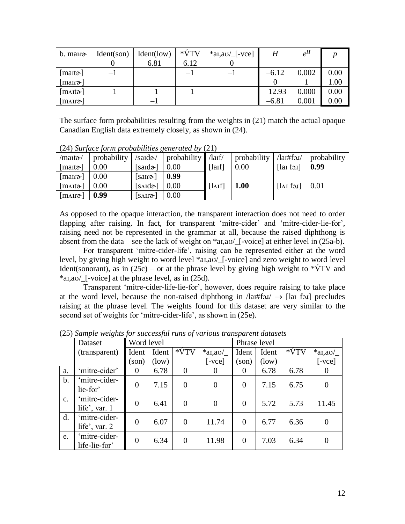| $b.$ matro-                            | Ident(son)               | Ident(low)      | $*VTV$                   | $*$ ai,ao/ $[-vec]$ | H        | $e^H$ |      |
|----------------------------------------|--------------------------|-----------------|--------------------------|---------------------|----------|-------|------|
|                                        |                          | 6.81            | 6.12                     |                     |          |       |      |
| [mait $\mathfrak{d}$ ]                 | $-1$                     |                 | $\overline{\phantom{0}}$ |                     | $-6.12$  | 0.002 | 0.00 |
| [mair $\mathfrak{d}$ ]                 |                          |                 |                          |                     |          |       | 1.00 |
| $[\text{m} \Lambda \text{m} \text{m}]$ | $\overline{\phantom{0}}$ | $\qquad \qquad$ | $\overline{\phantom{0}}$ |                     | $-12.93$ | 0.000 | 0.00 |
| [m∧ır∂~]                               |                          | $\qquad \qquad$ |                          |                     | $-6.81$  | 0.001 | 0.00 |

The surface form probabilities resulting from the weights in [\(21\)](#page-10-1) match the actual opaque Canadian English data extremely closely, as shown in [\(24\)](#page-11-0).

|                                     | (24) Surface form probabilities generated by (21) |                                             |             |                |             |                             |             |
|-------------------------------------|---------------------------------------------------|---------------------------------------------|-------------|----------------|-------------|-----------------------------|-------------|
| /maɪtə-/                            | probability                                       | /saɪdə/                                     | probability | $\frac{d}{dx}$ | probability | $\lambda$ lai#fo. $\lambda$ | probability |
| [matrix]                            | 0.00                                              | [saɪdə-]                                    | 0.00        | [1aIf]         | 0.00        | $[$ lar for $]$             | 0.99        |
| $\lfloor \text{man} \gamma \rfloor$ | 0.00                                              | $[s\text{and}]$                             | 0.99        |                |             |                             |             |
| [m <sub>Al</sub>                    | 0.00                                              | $[s \triangle \mathsf{Id} \mathsf{\sigma}]$ | 0.00        | $[I\Lambda]$   | 1.00        | $[\lambda]$ foil            | 0.01        |
| $[\text{max}]$                      | 0.99                                              | $[s\Lambda If3]$                            | 0.00        |                |             |                             |             |

<span id="page-11-0"></span>(24) *Surface form probabilities generated by* [\(21\)](#page-10-1)

As opposed to the opaque interaction, the transparent interaction does not need to order flapping after raising. In fact, for transparent 'mitre-cider' and 'mitre-cider-lie-for', raising need not be represented in the grammar at all, because the raised diphthong is absent from the data – see the lack of weight on  $a_{1,20}$  [-voice] at either level in [\(25a](#page-11-1)-b).

For transparent 'mitre-cider-life', raising can be represented either at the word level, by giving high weight to word level \*aɪ,aʊ/\_[-voice] and zero weight to word level Ident(sonorant), as in [\(25c](#page-11-1)) – or at the phrase level by giving high weight to  $*\dot{V}TV$  and \*aɪ,aʊ/\_[-voice] at the phrase level, as in [\(25d](#page-11-1)).

Transparent 'mitre-cider-life-lie-for', however, does require raising to take place at the word level, because the non-raised diphthong in  $\text{lambda} \rightarrow \text{[la}$  flare for precludes raising at the phrase level. The weights found for this dataset are very similar to the second set of weights for 'mitre-cider-life', as shown in [\(25e](#page-11-1)).

|               | Dataset                          | Word level     |       |                |                        | Phrase level   |       |        |                |
|---------------|----------------------------------|----------------|-------|----------------|------------------------|----------------|-------|--------|----------------|
|               | (transparent)                    | Ident          | Ident | $*VTV$         | $*$ ai,ao/             | Ident          | Ident | $*VTV$ | $*$ ai,ao/     |
|               |                                  | son)           | (low) |                | $\lceil$ -vce $\rceil$ | (son)          | (low) |        | $-vec$         |
| a.            | 'mitre-cider'                    | $\theta$       | 6.78  | $\overline{0}$ | $\Omega$               | $\overline{0}$ | 6.78  | 6.78   | $\theta$       |
| b.            | mitre-cider-<br>lie-for'         | $\overline{0}$ | 7.15  | $\overline{0}$ | $\overline{0}$         | $\overline{0}$ | 7.15  | 6.75   | $\overline{0}$ |
| $C_{\bullet}$ | mitre-cider-<br>life', var. $1$  | $\overline{0}$ | 6.41  | $\overline{0}$ | $\overline{0}$         | $\Omega$       | 5.72  | 5.73   | 11.45          |
| d.            | 'mitre-cider-<br>life', var. $2$ | $\overline{0}$ | 6.07  | $\theta$       | 11.74                  | $\Omega$       | 6.77  | 6.36   | $\theta$       |
| e.            | 'mitre-cider-<br>life-lie-for'   | $\overline{0}$ | 6.34  | $\theta$       | 11.98                  | $\Omega$       | 7.03  | 6.34   | $\Omega$       |

<span id="page-11-1"></span>(25) *Sample weights for successful runs of various transparent datasets*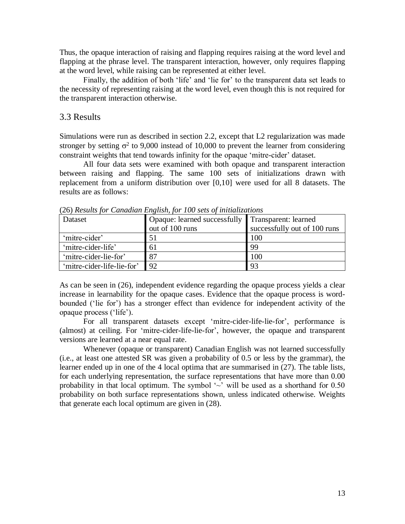Thus, the opaque interaction of raising and flapping requires raising at the word level and flapping at the phrase level. The transparent interaction, however, only requires flapping at the word level, while raising can be represented at either level.

Finally, the addition of both 'life' and 'lie for' to the transparent data set leads to the necessity of representing raising at the word level, even though this is not required for the transparent interaction otherwise.

#### 3.3 Results

Simulations were run as described in section 2.2, except that L2 regularization was made stronger by setting  $\sigma^2$  to 9,000 instead of 10,000 to prevent the learner from considering constraint weights that tend towards infinity for the opaque 'mitre-cider' dataset.

All four data sets were examined with both opaque and transparent interaction between raising and flapping. The same 100 sets of initializations drawn with replacement from a uniform distribution over [0,10] were used for all 8 datasets. The results are as follows:

|                            | (20) Restaus for Canadian English, for 100 sets of intrializations |                              |
|----------------------------|--------------------------------------------------------------------|------------------------------|
| Dataset                    | Opaque: learned successfully                                       | Transparent: learned         |
|                            | out of 100 runs                                                    | successfully out of 100 runs |
| 'mitre-cider'              | 51                                                                 | 100                          |
| 'mitre-cider-life'         | 61                                                                 | 99                           |
| 'mitre-cider-lie-for'      | 87                                                                 | 100                          |
| 'mitre-cider-life-lie-for' | 92                                                                 | 93                           |

(26) *Results for Canadian English, for 100 sets of initializations*

As can be seen in (26), independent evidence regarding the opaque process yields a clear increase in learnability for the opaque cases. Evidence that the opaque process is wordbounded ('lie for') has a stronger effect than evidence for independent activity of the opaque process ('life').

For all transparent datasets except 'mitre-cider-life-lie-for', performance is (almost) at ceiling. For 'mitre-cider-life-lie-for', however, the opaque and transparent versions are learned at a near equal rate.

Whenever (opaque or transparent) Canadian English was not learned successfully (i.e., at least one attested SR was given a probability of 0.5 or less by the grammar), the learner ended up in one of the 4 local optima that are summarised in [\(27\)](#page-13-0). The table lists, for each underlying representation, the surface representations that have more than 0.00 probability in that local optimum. The symbol  $\sim$  will be used as a shorthand for 0.50 probability on both surface representations shown, unless indicated otherwise. Weights that generate each local optimum are given in [\(28\)](#page-13-1).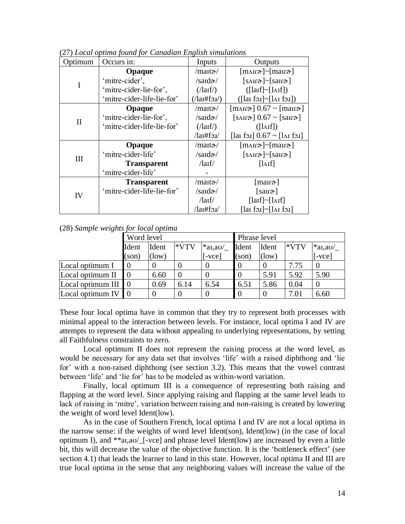| Optimum      | Occurs in:                 | Inputs                        | Outputs                                                          |
|--------------|----------------------------|-------------------------------|------------------------------------------------------------------|
|              | Opaque                     | $/$ mait $\mathcal{D}/$       | $[m\text{M}r\mathfrak{d}^-]$ maira]                              |
| I            | 'mitre-cider',             | $/s$ ard $\alpha$ /           | $[s\text{AIF}\sigma] \sim [s\text{AIF}\sigma]$                   |
|              | 'mitre-cider-lie-for',     | $($ /laif/ $)$                | $($ [laif]~[l $\Lambda$ if])                                     |
|              | 'mitre-cider-life-lie-for' | $($ /lai#fo.i $\prime$ )      | $($ [lai foi]~[l $\Lambda$ i foi])                               |
|              | Opaque                     | $/$ marta $\sim$              | $[\text{m}_4]$ 0.67 ~ $[\text{m}_4]$                             |
|              | 'mitre-cider-lie-for',     | $/s$ ard $\alpha$ /           | $[s\text{AIF}\mathfrak{D}]\ 0.67 \sim [s\text{AIF}\mathfrak{D}]$ |
| $\mathbf{I}$ | 'mitre-cider-life-lie-for' | $($ /laif/ $)$                | $($ [ $\Lambda$ If])                                             |
|              |                            | $\lambda$ lai#fo. $\lambda$   | [lai fəi] $0.67 \sim$ [lai fəi]                                  |
|              | Opaque                     | $/$ mait $\mathcal{D}/$       | $[m\text{M}r\mathfrak{d}^-]$ maira]                              |
| III          | 'mitre-cider-life'         | $/s$ ard $\alpha$ /           | $[s\text{AIF}\sigma] \sim [s\text{AIF}\sigma]$                   |
|              | <b>Transparent</b>         | $\langle \text{larf} \rangle$ | $[\lambda]$                                                      |
|              | 'mitre-cider-life'         |                               |                                                                  |
|              | <b>Transparent</b>         | /maito-/                      | $[\text{man}\sigma]$                                             |
| IV           | 'mitre-cider-life-lie-for' | $/s \text{and} \mathcal{D}$   | $[s\text{and}]$                                                  |
|              |                            | $\langle \text{larf} \rangle$ | [lar]~[Arf]                                                      |
|              |                            | $\lambda$ lai#fo.i $\lambda$  | $\lceil \ln \fceil - \lceil \ln \fceil$                          |

<span id="page-13-0"></span>(27) *Local optima found for Canadian English simulations*

#### <span id="page-13-1"></span>(28) *Sample weights for local optima*

|                   | Word level |       |        |                        | Phrase level |       |        |                        |
|-------------------|------------|-------|--------|------------------------|--------------|-------|--------|------------------------|
|                   | Ident      | Ident | $*VTV$ | $*$ ai,ao/             | Ident        | Ident | $*VTV$ | $*$ ar,ao/             |
|                   | (son)      | (low) |        | $\lceil$ -vce $\rceil$ | (son)        | (low) |        | $\lceil$ -vce $\rceil$ |
| Local optimum I   |            |       |        |                        |              |       | 7.75   |                        |
| Local optimum II  |            | 6.60  |        |                        |              | 5.91  | 5.92   | 5.90                   |
| Local optimum III |            | 0.69  | 6.14   | 6.54                   | 6.51         | 5.86  | 0.04   |                        |
| Local optimum IV  |            |       |        |                        |              |       | 7.01   | 6.60                   |

These four local optima have in common that they try to represent both processes with minimal appeal to the interaction between levels. For instance, local optima I and IV are attempts to represent the data without appealing to underlying representations, by setting all Faithfulness constraints to zero.

Local optimum II does not represent the raising process at the word level, as would be necessary for any data set that involves 'life' with a raised diphthong and 'lie for' with a non-raised diphthong (see section 3.2). This means that the vowel contrast between 'life' and 'lie for' has to be modeled as within-word variation.

Finally, local optimum III is a consequence of representing both raising and flapping at the word level. Since applying raising and flapping at the same level leads to lack of raising in 'mitre', variation between raising and non-raising is created by lowering the weight of word level Ident(low).

As in the case of Southern French, local optima I and IV are not a local optima in the narrow sense: if the weights of word level Ident(son), Ident(low) (in the case of local optimum I), and \*\*aɪ,aʊ/\_[-vce] and phrase level Ident(low) are increased by even a little bit, this will decrease the value of the objective function. It is the 'bottleneck effect' (see section 4.1) that leads the learner to land in this state. However, local optima II and III are true local optima in the sense that any neighboring values will increase the value of the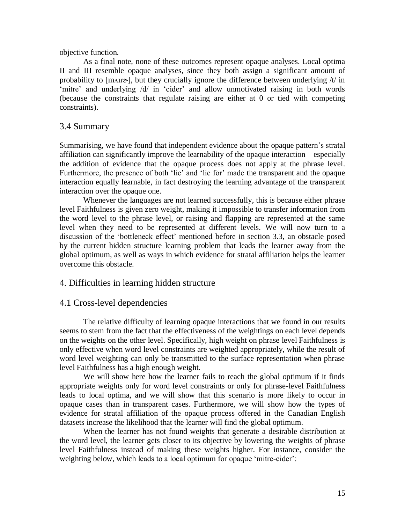objective function.

As a final note, none of these outcomes represent opaque analyses. Local optima II and III resemble opaque analyses, since they both assign a significant amount of probability to  $[m\Delta I\sigma]$ , but they crucially ignore the difference between underlying /t/ in 'mitre' and underlying /d/ in 'cider' and allow unmotivated raising in both words (because the constraints that regulate raising are either at 0 or tied with competing constraints).

## 3.4 Summary

Summarising, we have found that independent evidence about the opaque pattern's stratal affiliation can significantly improve the learnability of the opaque interaction – especially the addition of evidence that the opaque process does not apply at the phrase level. Furthermore, the presence of both 'lie' and 'lie for' made the transparent and the opaque interaction equally learnable, in fact destroying the learning advantage of the transparent interaction over the opaque one.

Whenever the languages are not learned successfully, this is because either phrase level Faithfulness is given zero weight, making it impossible to transfer information from the word level to the phrase level, or raising and flapping are represented at the same level when they need to be represented at different levels. We will now turn to a discussion of the 'bottleneck effect' mentioned before in section 3.3, an obstacle posed by the current hidden structure learning problem that leads the learner away from the global optimum, as well as ways in which evidence for stratal affiliation helps the learner overcome this obstacle.

## 4. Difficulties in learning hidden structure

## 4.1 Cross-level dependencies

The relative difficulty of learning opaque interactions that we found in our results seems to stem from the fact that the effectiveness of the weightings on each level depends on the weights on the other level. Specifically, high weight on phrase level Faithfulness is only effective when word level constraints are weighted appropriately, while the result of word level weighting can only be transmitted to the surface representation when phrase level Faithfulness has a high enough weight.

We will show here how the learner fails to reach the global optimum if it finds appropriate weights only for word level constraints or only for phrase-level Faithfulness leads to local optima, and we will show that this scenario is more likely to occur in opaque cases than in transparent cases. Furthermore, we will show how the types of evidence for stratal affiliation of the opaque process offered in the Canadian English datasets increase the likelihood that the learner will find the global optimum.

When the learner has not found weights that generate a desirable distribution at the word level, the learner gets closer to its objective by lowering the weights of phrase level Faithfulness instead of making these weights higher. For instance, consider the weighting below, which leads to a local optimum for opaque 'mitre-cider':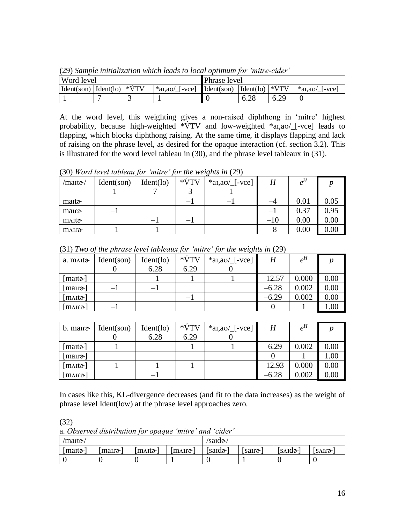| <b>Word level</b>                                                                   |  |   |  | Phrase level |                                     |      |                               |
|-------------------------------------------------------------------------------------|--|---|--|--------------|-------------------------------------|------|-------------------------------|
| $\text{Ident}(son)$ $\text{Ident}(lo)$ $\text{*VTV}$<br>$*$ al,au/<br>$\int$ [-vce] |  |   |  | Ident(son)   | $\text{Ident}(lo) \mid \text{*VTV}$ |      | $*$ al,a $\sigma$ /<br>I-vcel |
|                                                                                     |  | ~ |  |              | 6.28                                | 6.29 |                               |

<span id="page-15-2"></span>(29) *Sample initialization which leads to local optimum for 'mitre-cider'*

At the word level, this weighting gives a non-raised diphthong in 'mitre' highest probability, because high-weighted \*VTV and low-weighted \*ar,av/[-vce] leads to flapping, which blocks diphthong raising. At the same time, it displays flapping and lack of raising on the phrase level, as desired for the opaque interaction (cf. section 3.2). This is illustrated for the word level tableau in [\(30\)](#page-15-0), and the phrase level tableaux in [\(31\)](#page-15-1).

<span id="page-15-0"></span>(30) *Word level tableau for 'mitre' for the weights in* [\(29\)](#page-15-2)

| /maɪtə-/          | Ident(son) | Ident(lo) | $*VTV$ | $*$ ai,ao/ $[-vec]$ | $\boldsymbol{H}$ | $e^H$ |      |
|-------------------|------------|-----------|--------|---------------------|------------------|-------|------|
|                   |            |           |        |                     |                  |       |      |
| mait <sub>a</sub> |            |           | —      | –                   |                  | 0.01  | 0.05 |
| mair              |            |           |        |                     | — 1              | 0.37  | 0.95 |
| m∧ita             |            |           |        |                     | $-10$            | 0.00  | 0.00 |
| mair <sub>ð</sub> | —          | —         |        |                     | –8               | 0.00  | 0.00 |

| a. maito               | Ident(son) | Ident(lo)                    | $*VTV$ | $*$ ai,au/[-vce]         | H        | $e^H$ |      |
|------------------------|------------|------------------------------|--------|--------------------------|----------|-------|------|
|                        |            | 6.28                         | 6.29   |                          |          |       |      |
| [mart $\mathfrak{d}$ ] |            | $\qquad \qquad \blacksquare$ | $-1$   | $\overline{\phantom{0}}$ | $-12.57$ | 0.000 | 0.00 |
| $[\text{man}\sigma]$   | — 1        | $\overline{\phantom{0}}$     |        |                          | $-6.28$  | 0.002 | 0.00 |
| [m <sub>Al</sub>       |            |                              | — I    |                          | $-6.29$  | 0.002 | 0.00 |
| $[\text{max1}]$        | — <b>1</b> |                              |        |                          |          |       | 1.00 |

<span id="page-15-1"></span>(31) *Two of the phrase level tableaux for 'mitre' for the weights in* [\(29\)](#page-15-2)

| $b.$ mair $\infty$     | Ident(son)               | Ident(lo)                | $*VTV$                   | $*$ ai,ao/[-vce] | H        | $e^H$ |      |
|------------------------|--------------------------|--------------------------|--------------------------|------------------|----------|-------|------|
|                        |                          | 6.28                     | 6.29                     |                  |          |       |      |
| [mait $\mathfrak{d}$ ] | $-$                      |                          |                          | —                | $-6.29$  | 0.002 | 0.00 |
| $[\text{man}\sigma]$   |                          |                          |                          |                  |          |       | 1.00 |
| [m <sub>Al</sub>       | $\overline{\phantom{0}}$ | $\overline{\phantom{0}}$ | $\overline{\phantom{0}}$ |                  | $-12.93$ | 0.000 | 0.00 |
| [mʌɪɾə·]               |                          | —                        |                          |                  | $-6.28$  | 0.002 | 0.00 |

In cases like this, KL-divergence decreases (and fit to the data increases) as the weight of phrase level Ident(low) at the phrase level approaches zero.

(32)

| $\gamma$ maita $\gamma$ |                                     |                         |         | /saidə/          |               |                                             |                   |
|-------------------------|-------------------------------------|-------------------------|---------|------------------|---------------|---------------------------------------------|-------------------|
| $ $ mait $\ge$          | $\lfloor \text{man} \gamma \rfloor$ | $\text{m}$ <sub>1</sub> | †m∧ir∂- | [said $\sigma$ ] | sair $\alpha$ | $[s \triangle \mathbf{Id} \mathbf{\sigma}]$ | SAIQ <sub>o</sub> |
|                         |                                     |                         |         |                  |               |                                             |                   |

a. *Observed distribution for opaque 'mitre' and 'cider'*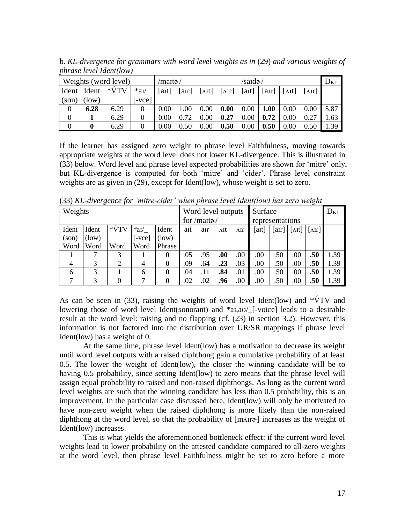|          | Weights (word level) | /maɪtə-/ |        |       |                           | /saɪdə-/       |                           |       |                           | <b>D</b> KL                      |                           |      |
|----------|----------------------|----------|--------|-------|---------------------------|----------------|---------------------------|-------|---------------------------|----------------------------------|---------------------------|------|
| Ident    | Ident                | $*VTV$   | $*aV$  | [aɪt] | $\lceil \text{an} \rceil$ | $[\lambda$ It] | $\lceil \text{Mf} \rceil$ | [aɪt] | $\lceil \text{an} \rceil$ | $\lceil \Delta \text{It} \rceil$ | $\lceil \text{Mf} \rceil$ |      |
| (son)    | , low)               |          | l-vcel |       |                           |                |                           |       |                           |                                  |                           |      |
| $\theta$ | 6.28                 | 6.29     |        | 0.00  | 1.00                      | 0.00           | 0.00                      | 0.00  | <b>1.00</b>               | 0.00                             | 0.00                      | 5.87 |
|          |                      | 6.29     |        | 0.00  | 0.72                      | 0.00           | 0.27                      | 0.00  | 0.72                      | 0.00                             | 0.27                      | .63  |
|          | $\bf{0}$             | 6.29     |        | 0.00  | 0.50                      | 0.00           | 0.50                      | 0.00  | 0.50                      | 0.00                             | 0.50                      | .39  |

b. *KL-divergence for grammars with word level weights as in* [\(29\)](#page-15-2) *and various weights of phrase level Ident(low)*

If the learner has assigned zero weight to phrase level Faithfulness, moving towards appropriate weights at the word level does not lower KL-divergence. This is illustrated in [\(33\)](#page-16-0) below. Word level and phrase level expected probabilities are shown for 'mitre' only, but KL-divergence is computed for both 'mitre' and 'cider'. Phrase level constraint weights are as given in [\(29\)](#page-15-2), except for Ident(low), whose weight is set to zero.

|         | $\cdot$ |        |                |                  |     |                    |      |             |       |                           |                                              | $\cdot$                    |          |
|---------|---------|--------|----------------|------------------|-----|--------------------|------|-------------|-------|---------------------------|----------------------------------------------|----------------------------|----------|
| Weights |         |        |                |                  |     | Word level outputs |      |             |       | Surface                   |                                              |                            | $D_{KL}$ |
|         |         |        |                |                  |     | for /maita/        |      |             |       | representations           |                                              |                            |          |
| Ident   | Ident   | $*VTV$ | $*aV$          | Ident            | aɪt | an                 | ΛIt  | $\Delta$ If | [aɪt] | $\lceil \text{an} \rceil$ | $\lceil \Delta \mathbf{I} \mathbf{t} \rceil$ | $\lceil \text{and} \rceil$ |          |
| (son)   | (low)   |        | $-vec$         | [low)            |     |                    |      |             |       |                           |                                              |                            |          |
| Word    | Word    | Word   | Word           | Phrase           |     |                    |      |             |       |                           |                                              |                            |          |
|         |         | 3      |                | $\bf{0}$         | .05 | .95                | .00. | .00.        | .00   | .50                       | .00.                                         | .50                        | 1.39     |
| 4       | 3       | ∍      | $\overline{4}$ | $\boldsymbol{0}$ | .09 | .64                | .23  | .03         | .00   | .50                       | .00                                          | .50                        | 1.39     |
| 6       | 3       |        | 6              | $\boldsymbol{0}$ | .04 | .11                | .84  | .01         | .00   | .50                       | .00                                          | .50                        | 1.39     |
|         | 3       |        |                | 0                | .02 | .02                | .96  | .00         | .00   | .50                       | .00                                          | .50                        | 1.39     |

<span id="page-16-0"></span>(33) *KL-divergence for 'mitre-cider' when phrase level Ident(low) has zero weight*

As can be seen in [\(33\)](#page-16-0), raising the weights of word level Ident(low) and  $*\dot{V}TV$  and lowering those of word level Ident(sonorant) and  $a_{1,2}$  [-voice] leads to a desirable result at the word level: raising and no flapping (cf. [\(23\)](#page-10-0) in section 3.2). However, this information is not factored into the distribution over UR/SR mappings if phrase level Ident(low) has a weight of 0.

At the same time, phrase level Ident(low) has a motivation to decrease its weight until word level outputs with a raised diphthong gain a cumulative probability of at least 0.5. The lower the weight of Ident(low), the closer the winning candidate will be to having 0.5 probability, since setting Ident(low) to zero means that the phrase level will assign equal probability to raised and non-raised diphthongs. As long as the current word level weights are such that the winning candidate has less than 0.5 probability, this is an improvement. In the particular case discussed here, Ident(low) will only be motivated to have non-zero weight when the raised diphthong is more likely than the non-raised diphthong at the word level, so that the probability of  $[m\text{AII}\sigma]$  increases as the weight of Ident(low) increases.

This is what yields the aforementioned bottleneck effect: if the current word level weights lead to lower probability on the attested candidate compared to all-zero weights at the word level, then phrase level Faithfulness might be set to zero before a more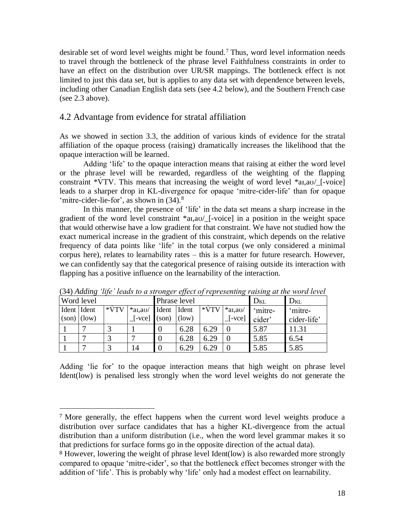desirable set of word level weights might be found.<sup>7</sup> Thus, word level information needs to travel through the bottleneck of the phrase level Faithfulness constraints in order to have an effect on the distribution over UR/SR mappings. The bottleneck effect is not limited to just this data set, but is applies to any data set with dependence between levels, including other Canadian English data sets (see 4.2 below), and the Southern French case (see 2.3 above).

#### 4.2 Advantage from evidence for stratal affiliation

As we showed in section 3.3, the addition of various kinds of evidence for the stratal affiliation of the opaque process (raising) dramatically increases the likelihood that the opaque interaction will be learned.

Adding 'life' to the opaque interaction means that raising at either the word level or the phrase level will be rewarded, regardless of the weighting of the flapping constraint  $\sqrt[k]{\text{TV}}$ . This means that increasing the weight of word level  $\sqrt[k]{\text{aI}, \text{aO}}$  [-voice] leads to a sharper drop in KL-divergence for opaque 'mitre-cider-life' than for opaque 'mitre-cider-lie-for', as shown in  $(34)$ .<sup>8</sup>

In this manner, the presence of 'life' in the data set means a sharp increase in the gradient of the word level constraint \*aɪ,aʊ/\_[-voice] in a position in the weight space that would otherwise have a low gradient for that constraint. We have not studied how the exact numerical increase in the gradient of this constraint, which depends on the relative frequency of data points like 'life' in the total corpus (we only considered a minimal corpus here), relates to learnability rates – this is a matter for future research. However, we can confidently say that the categorical presence of raising outside its interaction with flapping has a positive influence on the learnability of the interaction.

| Word level    |  |        |                              | Phrase level     |       |        | $D_{KL}$               | $D_{KL}$ |             |
|---------------|--|--------|------------------------------|------------------|-------|--------|------------------------|----------|-------------|
| Ident Ident   |  | $*VTV$ | $*$ al,ao/                   | Ident Ident      |       | $*VTV$ | $*$ al,ao/             | 'mitre-  | 'mitre-     |
| $(son)$ (low) |  |        | $\lceil$ -vce $\rceil$ (son) |                  | (low) |        | $\lceil$ -vce $\rceil$ | cider'   | cider-life' |
|               |  |        |                              | $\boldsymbol{0}$ | 6.28  | 6.29   |                        | 5.87     | 11.31       |
|               |  |        |                              | $\overline{0}$   | 6.28  | 6.29   |                        | 5.85     | 6.54        |
|               |  |        | 14                           | $\boldsymbol{0}$ | 6.29  | 6.29   |                        | 5.85     | 5.85        |

(34) *Adding 'life' leads to a stronger effect of representing raising at the word level*

Adding 'lie for' to the opaque interaction means that high weight on phrase level Ident(low) is penalised less strongly when the word level weights do not generate the

 $\overline{a}$ 

<sup>7</sup> More generally, the effect happens when the current word level weights produce a distribution over surface candidates that has a higher KL-divergence from the actual distribution than a uniform distribution (i.e., when the word level grammar makes it so that predictions for surface forms go in the opposite direction of the actual data).

<sup>&</sup>lt;sup>8</sup> However, lowering the weight of phrase level Ident(low) is also rewarded more strongly compared to opaque 'mitre-cider', so that the bottleneck effect becomes stronger with the addition of 'life'. This is probably why 'life' only had a modest effect on learnability.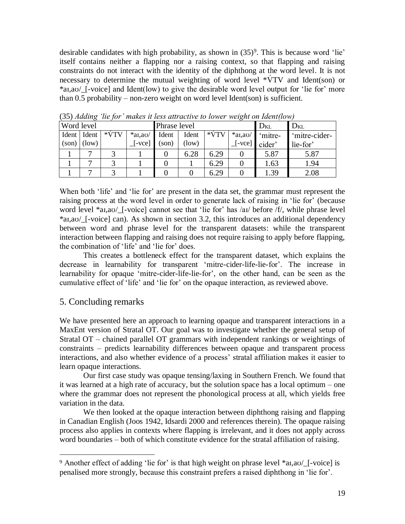desirable candidates with high probability, as shown in  $(35)^9$ . This is because word 'lie' itself contains neither a flapping nor a raising context, so that flapping and raising constraints do not interact with the identity of the diphthong at the word level. It is not necessary to determine the mutual weighting of word level  $*\dot{V}TV$  and Ident(son) or \*aɪ,aʊ/\_[-voice] and Ident(low) to give the desirable word level output for 'lie for' more than 0.5 probability – non-zero weight on word level Ident(son) is sufficient.

| Word level |       |        |                        | Phrase level |       |        | $D_{KL}$        | $D_{KL}$ |               |  |
|------------|-------|--------|------------------------|--------------|-------|--------|-----------------|----------|---------------|--|
| Ident      | Ident | $*VTV$ | $*$ al, au/            | Ident        | Ident | $*VTV$ | $*$ al,au/      | 'mitre-  | 'mitre-cider- |  |
| (son)      | (low) |        | $\lceil$ -vce $\rceil$ | (son)        | (low) |        | $[-\text{vec}]$ | cider'   | lie-for'      |  |
|            |       | ◠      |                        |              | 6.28  | 6.29   |                 | 5.87     | 5.87          |  |
|            |       |        |                        |              |       | 6.29   |                 | 1.63     | 1.94          |  |
|            |       | ⌒      |                        |              |       | 6.29   |                 | 1.39     | 2.08          |  |

(35) *Adding 'lie for' makes it less attractive to lower weight on Ident(low)* 

When both 'life' and 'lie for' are present in the data set, the grammar must represent the raising process at the word level in order to generate lack of raising in 'lie for' (because word level \*aɪ,aʊ/\_[-voice] cannot see that 'lie for' has /aɪ/ before /f/, while phrase level \*aɪ,aʊ/\_[-voice] can). As shown in section 3.2, this introduces an additional dependency between word and phrase level for the transparent datasets: while the transparent interaction between flapping and raising does not require raising to apply before flapping, the combination of 'life' and 'lie for' does.

This creates a bottleneck effect for the transparent dataset, which explains the decrease in learnability for transparent 'mitre-cider-life-lie-for'. The increase in learnability for opaque 'mitre-cider-life-lie-for', on the other hand, can be seen as the cumulative effect of 'life' and 'lie for' on the opaque interaction, as reviewed above.

# 5. Concluding remarks

 $\overline{a}$ 

We have presented here an approach to learning opaque and transparent interactions in a MaxEnt version of Stratal OT. Our goal was to investigate whether the general setup of Stratal OT – chained parallel OT grammars with independent rankings or weightings of constraints – predicts learnability differences between opaque and transparent process interactions, and also whether evidence of a process' stratal affiliation makes it easier to learn opaque interactions.

Our first case study was opaque tensing/laxing in Southern French. We found that it was learned at a high rate of accuracy, but the solution space has a local optimum – one where the grammar does not represent the phonological process at all, which yields free variation in the data.

We then looked at the opaque interaction between diphthong raising and flapping in Canadian English (Joos 1942, Idsardi 2000 and references therein). The opaque raising process also applies in contexts where flapping is irrelevant, and it does not apply across word boundaries – both of which constitute evidence for the stratal affiliation of raising.

<sup>9</sup> Another effect of adding 'lie for' is that high weight on phrase level \*aɪ,aʊ/\_[-voice] is penalised more strongly, because this constraint prefers a raised diphthong in 'lie for'.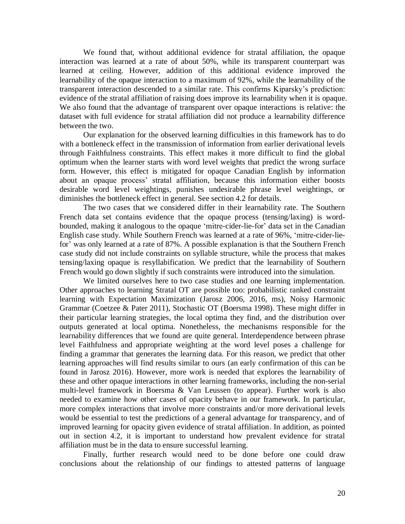We found that, without additional evidence for stratal affiliation, the opaque interaction was learned at a rate of about 50%, while its transparent counterpart was learned at ceiling. However, addition of this additional evidence improved the learnability of the opaque interaction to a maximum of 92%, while the learnability of the transparent interaction descended to a similar rate. This confirms Kiparsky's prediction: evidence of the stratal affiliation of raising does improve its learnability when it is opaque. We also found that the advantage of transparent over opaque interactions is relative: the dataset with full evidence for stratal affiliation did not produce a learnability difference between the two.

Our explanation for the observed learning difficulties in this framework has to do with a bottleneck effect in the transmission of information from earlier derivational levels through Faithfulness constraints. This effect makes it more difficult to find the global optimum when the learner starts with word level weights that predict the wrong surface form. However, this effect is mitigated for opaque Canadian English by information about an opaque process' stratal affiliation, because this information either boosts desirable word level weightings, punishes undesirable phrase level weightings, or diminishes the bottleneck effect in general. See section 4.2 for details.

The two cases that we considered differ in their learnability rate. The Southern French data set contains evidence that the opaque process (tensing/laxing) is wordbounded, making it analogous to the opaque 'mitre-cider-lie-for' data set in the Canadian English case study. While Southern French was learned at a rate of 96%, 'mitre-cider-liefor' was only learned at a rate of 87%. A possible explanation is that the Southern French case study did not include constraints on syllable structure, while the process that makes tensing/laxing opaque is resyllabification. We predict that the learnability of Southern French would go down slightly if such constraints were introduced into the simulation.

We limited ourselves here to two case studies and one learning implementation. Other approaches to learning Stratal OT are possible too: probabilistic ranked constraint learning with Expectation Maximization (Jarosz 2006, 2016, ms), Noisy Harmonic Grammar (Coetzee & Pater 2011), Stochastic OT (Boersma 1998). These might differ in their particular learning strategies, the local optima they find, and the distribution over outputs generated at local optima. Nonetheless, the mechanisms responsible for the learnability differences that we found are quite general. Interdependence between phrase level Faithfulness and appropriate weighting at the word level poses a challenge for finding a grammar that generates the learning data. For this reason, we predict that other learning approaches will find results similar to ours (an early confirmation of this can be found in Jarosz 2016). However, more work is needed that explores the learnability of these and other opaque interactions in other learning frameworks, including the non-serial multi-level framework in Boersma & Van Leussen (to appear). Further work is also needed to examine how other cases of opacity behave in our framework. In particular, more complex interactions that involve more constraints and/or more derivational levels would be essential to test the predictions of a general advantage for transparency, and of improved learning for opacity given evidence of stratal affiliation. In addition, as pointed out in section 4.2, it is important to understand how prevalent evidence for stratal affiliation must be in the data to ensure successful learning.

Finally, further research would need to be done before one could draw conclusions about the relationship of our findings to attested patterns of language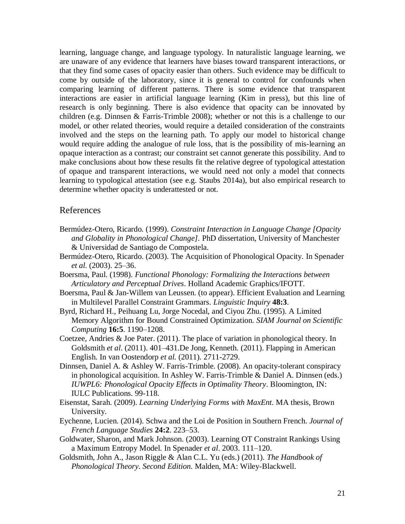learning, language change, and language typology. In naturalistic language learning, we are unaware of any evidence that learners have biases toward transparent interactions, or that they find some cases of opacity easier than others. Such evidence may be difficult to come by outside of the laboratory, since it is general to control for confounds when comparing learning of different patterns. There is some evidence that transparent interactions are easier in artificial language learning (Kim in press), but this line of research is only beginning. There is also evidence that opacity can be innovated by children (e.g. Dinnsen & Farris-Trimble 2008); whether or not this is a challenge to our model, or other related theories, would require a detailed consideration of the constraints involved and the steps on the learning path. To apply our model to historical change would require adding the analogue of rule loss, that is the possibility of mis-learning an opaque interaction as a contrast; our constraint set cannot generate this possibility. And to make conclusions about how these results fit the relative degree of typological attestation of opaque and transparent interactions, we would need not only a model that connects learning to typological attestation (see e.g. Staubs 2014a), but also empirical research to determine whether opacity is underattested or not.

#### References

- Bermúdez-Otero, Ricardo. (1999). *Constraint Interaction in Language Change [Opacity and Globality in Phonological Change].* PhD dissertation, University of Manchester & Universidad de Santiago de Compostela.
- Bermúdez-Otero, Ricardo. (2003). The Acquisition of Phonological Opacity. In Spenader *et al*. (2003). 25–36.
- Boersma, Paul. (1998). *Functional Phonology: Formalizing the Interactions between Articulatory and Perceptual Drives*. Holland Academic Graphics/IFOTT.
- Boersma, Paul & Jan-Willem van Leussen. (to appear). Efficient Evaluation and Learning in Multilevel Parallel Constraint Grammars. *Linguistic Inquiry* **48:3**.
- Byrd, Richard H., Peihuang Lu, Jorge Nocedal, and Ciyou Zhu. (1995). A Limited Memory Algorithm for Bound Constrained Optimization. *SIAM Journal on Scientific Computing* **16:5**. 1190–1208.
- Coetzee, Andries & Joe Pater. (2011). The place of variation in phonological theory. In Goldsmith *et al*. (2011). 401–431.De Jong, Kenneth. (2011). Flapping in American English. In van Oostendorp *et al.* (2011). 2711-2729.
- Dinnsen, Daniel A. & Ashley W. Farris-Trimble. (2008). An opacity-tolerant conspiracy in phonological acquisition. In Ashley W. Farris-Trimble & Daniel A. Dinnsen (eds.) *IUWPL6: Phonological Opacity Effects in Optimality Theory*. Bloomington, IN: IULC Publications. 99-118.
- Eisenstat, Sarah. (2009). *Learning Underlying Forms with MaxEnt*. MA thesis, Brown University.
- Eychenne, Lucien. (2014). Schwa and the Loi de Position in Southern French. *Journal of French Language Studies* **24:2**. 223–53.
- Goldwater, Sharon, and Mark Johnson. (2003). Learning OT Constraint Rankings Using a Maximum Entropy Model. In Spenader *et al*. 2003. 111–120.
- Goldsmith, John A., Jason Riggle & Alan C.L. Yu (eds.) (2011). *The Handbook of Phonological Theory*. *Second Edition.* Malden, MA: Wiley-Blackwell.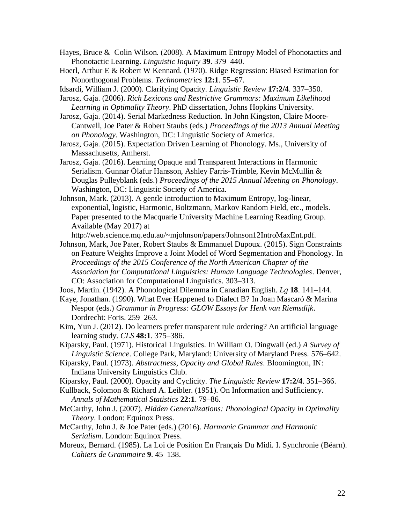- Hayes, Bruce & Colin Wilson. (2008). A Maximum Entropy Model of Phonotactics and Phonotactic Learning. *Linguistic Inquiry* **39**. 379–440.
- Hoerl, Arthur E & Robert W Kennard. (1970). Ridge Regression: Biased Estimation for Nonorthogonal Problems. *Technometrics* **12:1**. 55–67.
- Idsardi, William J. (2000). Clarifying Opacity. *Linguistic Review* **17:2/4**. 337–350.
- Jarosz, Gaja. (2006). *Rich Lexicons and Restrictive Grammars: Maximum Likelihood Learning in Optimality Theory*. PhD dissertation, Johns Hopkins University.
- Jarosz, Gaja. (2014). Serial Markedness Reduction. In John Kingston, Claire Moore-Cantwell, Joe Pater & Robert Staubs (eds.) *Proceedings of the 2013 Annual Meeting on Phonology*. Washington, DC: Linguistic Society of America.
- Jarosz, Gaja. (2015). Expectation Driven Learning of Phonology. Ms., University of Massachusetts, Amherst.
- Jarosz, Gaja. (2016). Learning Opaque and Transparent Interactions in Harmonic Serialism. Gunnar Ólafur Hansson, Ashley Farris-Trimble, Kevin McMullin & Douglas Pulleyblank (eds.) *Proceedings of the 2015 Annual Meeting on Phonology*. Washington, DC: Linguistic Society of America.
- Johnson, Mark. (2013). A gentle introduction to Maximum Entropy, log-linear, exponential, logistic, Harmonic, Boltzmann, Markov Random Field, etc., models. Paper presented to the Macquarie University Machine Learning Reading Group. Available (May 2017) at

http://web.science.mq.edu.au/~mjohnson/papers/Johnson12IntroMaxEnt.pdf.

- Johnson, Mark, Joe Pater, Robert Staubs & Emmanuel Dupoux. (2015). Sign Constraints on Feature Weights Improve a Joint Model of Word Segmentation and Phonology. In *Proceedings of the 2015 Conference of the North American Chapter of the Association for Computational Linguistics: Human Language Technologies*. Denver, CO: Association for Computational Linguistics. 303–313.
- Joos, Martin. (1942). A Phonological Dilemma in Canadian English. *Lg* **18**. 141–144.
- Kaye, Jonathan. (1990). What Ever Happened to Dialect B? In Joan Mascaró & Marina Nespor (eds.) *Grammar in Progress: GLOW Essays for Henk van Riemsdijk*. Dordrecht: Foris. 259–263.
- Kim, Yun J. (2012). Do learners prefer transparent rule ordering? An artificial language learning study. *CLS* **48:1**. 375–386.
- Kiparsky, Paul. (1971). Historical Linguistics. In William O. Dingwall (ed.) *A Survey of Linguistic Science*. College Park, Maryland: University of Maryland Press. 576–642.
- Kiparsky, Paul. (1973). *Abstractness, Opacity and Global Rules*. Bloomington, IN: Indiana University Linguistics Club.
- Kiparsky, Paul. (2000). Opacity and Cyclicity. *The Linguistic Review* **17:2/4**. 351–366.
- Kullback, Solomon & Richard A. Leibler. (1951). On Information and Sufficiency. *Annals of Mathematical Statistics* **22:1**. 79–86.
- McCarthy, John J. (2007). *Hidden Generalizations: Phonological Opacity in Optimality Theory*. London: Equinox Press.
- McCarthy, John J. & Joe Pater (eds.) (2016). *Harmonic Grammar and Harmonic Serialism*. London: Equinox Press.
- Moreux, Bernard. (1985). La Loi de Position En Français Du Midi. I. Synchronie (Béarn). *Cahiers de Grammaire* **9**. 45–138.